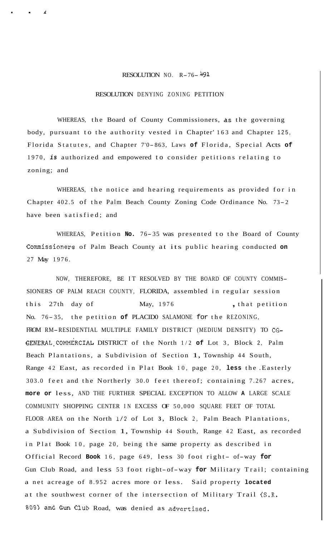## RESOLUTION NO.  $R-76-\frac{1491}{12}$

## RESOLUTION DENYING ZONING PETITION

. . *<sup>1</sup>*

WHEREAS, the Board of County Commissioners, as the governing body, pursuant to the authority vested in Chapter' 163 and Chapter 125, Florida Statutes, and Chapter 7'0- 863, Laws **of** Florida, Special Acts **of**  1970, *is* authorized and empowered to consider petitions relating to zoning; and

WHEREAS, the notice and hearing requirements as provided for in Chapter 402.5 of the Palm Beach County Zoning Code Ordinance No. 73- <sup>2</sup> have been satisfied; and

WHEREAS, Petition No. 76-35 was presented to the Board of County Commissioners of Palm Beach County at its public hearing conducted **on**  27 May 1976.

NOW, THEREFORE, BE IT RESOLVED BY THE BOARD OF COUNTY COMMIS-SIONERS OF PALM REACH COUNTY, FLORIDA, assembled in regular session this 27th day of May, 1976 , that petition No. 76- 35, the petition **of** PLACID0 SALAMONE for the REZONING, FROM RM-RESIDENTIAL MULTIPLE FAMILY DISTRICT (MEDIUM DENSITY) TO CG-GENERAL,COMMERCIAL DISTRICT of the North 1/2 **of** Lot 3, Block 2, Palm Beach Plantations, a Subdivision of Section 1, Township 44 South, Range 42 East, as recorded in Plat Book 10, page 20, **less** the .Easterly 303.0 feet and the Northerly 30.0 feet thereof; containing 7.267 acres, **more or** less, AND THE FURTHER SPECIAL EXCEPTION TO ALLOW **A** LARGE SCALE COMMUNITY SHOPPING CENTER IN EXCESS OF 50,000 SQUARE FEET OF TOTAL FLOOR AREA on the North **1/2** of Lot **3,** Block 2, Palm Beach Plantations, a Subdivision of Section 1, Township 44 South, Range 42 East, as recorded in Plat Book 10, page 20, being the same property as described in Official Record **Book** 16, page 649, less 30 foot right- of-way **for**  Gun Club Road, and less 53 foot right-of-way **for** Military Trail; containing a net acreage of 8.952 acres more or less. Said property **located**  at the southwest corner of the intersection of Military Trail (S.R. **809)** and Gun Club Road, was denied as advertised.